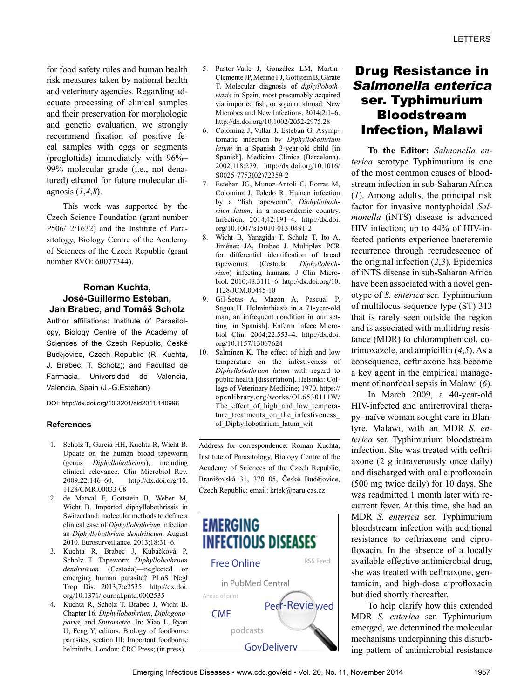for food safety rules and human health risk measures taken by national health and veterinary agencies. Regarding adequate processing of clinical samples and their preservation for morphologic and genetic evaluation, we strongly recommend fixation of positive fecal samples with eggs or segments (proglottids) immediately with 96%– 99% molecular grade (i.e., not denatured) ethanol for future molecular diagnosis (*1*,*4*,*8*).

This work was supported by the Czech Science Foundation (grant number P506/12/1632) and the Institute of Parasitology, Biology Centre of the Academy of Sciences of the Czech Republic (grant number RVO: 60077344).

### **Roman Kuchta, José-Guillermo Esteban, Jan Brabec, and Tomáš Scholz**

Author affiliations: Institute of Parasitology, Biology Centre of the Academy of Sciences of the Czech Republic, České Budějovice, Czech Republic (R. Kuchta, J. Brabec, T. Scholz); and Facultad de Farmacia, Universidad de Valencia, Valencia, Spain (J.-G.Esteban)

DOI: http://dx.doi.org/10.3201/eid2011.140996

### **References**

- 1. Scholz T, Garcia HH, Kuchta R, Wicht B. Update on the human broad tapeworm (genus *Diphyllobothrium*), including clinical relevance. Clin Microbiol Rev. 2009;22:146–60. http://dx.doi.org/10. 1128/CMR.00033-08
- 2. de Marval F, Gottstein B, Weber M, Wicht B. Imported diphyllobothriasis in Switzerland: molecular methods to define a clinical case of *Diphyllobothrium* infection as *Diphyllobothrium dendriticum*, August 2010*.* Eurosurveillance. 2013;18:31–6.
- 3. Kuchta R, Brabec J, Kubáčková P, Scholz T. Tapeworm *Diphyllobothrium dendriticum* (Cestoda)—neglected or emerging human parasite? PLoS Negl Trop Dis. 2013;7:e2535. http://dx.doi. org/10.1371/journal.pntd.0002535
- 4. Kuchta R, Scholz T, Brabec J, Wicht B. Chapter 16. *Diphyllobothrium*, *Diplogonoporus*, and *Spirometra*. In: Xiao L, Ryan U, Feng Y, editors. Biology of foodborne parasites, section III: Important foodborne helminths. London: CRC Press; (in press).
- 5. Pastor-Valle J, González LM, Martín-Clemente JP, Merino FJ, Gottstein B, Gárate T. Molecular diagnosis of *diphyllobothriasis* in Spain, most presumably acquired via imported fish, or sojourn abroad. New Microbes and New Infections. 2014;2:1–6. http://dx.doi.org/10.1002/2052-2975.28
- 6. Colomina J, Villar J, Esteban G. Asymptomatic infection by *Diphyllobothrium latum* in a Spanish 3-year-old child [in Spanish]. Medicina Clinica (Barcelona). 2002;118:279. http://dx.doi.org/10.1016/ S0025-7753(02)72359-2
- 7. Esteban JG, Munoz-Antoli C, Borras M, Colomina J, Toledo R. Human infection by a "fish tapeworm", *Diphyllobothrium latum*, in a non-endemic country. Infection. 2014;42:191–4. http://dx.doi. org/10.1007/s15010-013-0491-2
- 8. Wicht B, Yanagida T, Scholz T, Ito A, Jiménez JA, Brabec J. Multiplex PCR for differential identification of broad tapeworms (Cestoda: *Diphyllobothrium*) infecting humans. J Clin Microbiol. 2010;48:3111–6. http://dx.doi.org/10. 1128/JCM.00445-10
- 9. Gil-Setas A, Mazón A, Pascual P, Sagua H. Helminthiasis in a 71-year-old man, an infrequent condition in our setting [in Spanish]. Enferm Infecc Microbiol Clin. 2004;22:553–4. http://dx.doi. org/10.1157/13067624
- 10. Salminen K. The effect of high and low temperature on the infestiveness of *Diphyllobothrium latum* with regard to public health [dissertation]. Helsinki: College of Veterinary Medicine; 1970. https:// openlibrary.org/works/OL6530111W/ The\_effect\_of\_high\_and\_low\_temperature treatments on the infestiveness of\_Diphyllobothrium\_latum\_wit

Address for correspondence: Roman Kuchta, Institute of Parasitology, Biology Centre of the Academy of Sciences of the Czech Republic, Branišovská 31, 370 05, České Budějovice, Czech Republic; email: krtek@paru.cas.cz



# Drug Resistance in Salmonella enterica ser. Typhimurium Bloodstream Infection, Malawi

**To the Editor:** *Salmonella enterica* serotype Typhimurium is one of the most common causes of bloodstream infection in sub-Saharan Africa (*1*). Among adults, the principal risk factor for invasive nontyphoidal *Salmonella* (iNTS) disease is advanced HIV infection; up to 44% of HIV-infected patients experience bacteremic recurrence through recrudescence of the original infection (*2*,*3*). Epidemics of iNTS disease in sub-Saharan Africa have been associated with a novel genotype of *S. enterica* ser. Typhimurium of multilocus sequence type (ST) 313 that is rarely seen outside the region and is associated with multidrug resistance (MDR) to chloramphenicol, cotrimoxazole, and ampicillin (*4*,*5*). As a consequence, ceftriaxone has become a key agent in the empirical management of nonfocal sepsis in Malawi (*6*).

In March 2009, a 40-year-old HIV-infected and antiretroviral therapy–naïve woman sought care in Blantyre, Malawi, with an MDR *S. enterica* ser. Typhimurium bloodstream infection. She was treated with ceftriaxone (2 g intravenously once daily) and discharged with oral ciprofloxacin (500 mg twice daily) for 10 days. She was readmitted 1 month later with recurrent fever. At this time, she had an MDR *S. enterica* ser. Typhimurium bloodstream infection with additional resistance to ceftriaxone and ciprofloxacin. In the absence of a locally available effective antimicrobial drug, she was treated with ceftriaxone, gentamicin, and high-dose ciprofloxacin but died shortly thereafter.

To help clarify how this extended MDR *S. enterica* ser. Typhimurium emerged, we determined the molecular mechanisms underpinning this disturbing pattern of antimicrobial resistance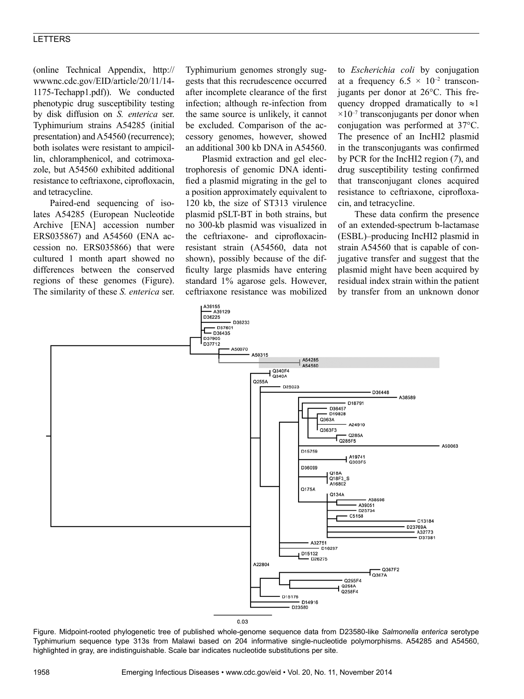## LETTERS

(online Technical Appendix, http:// wwwnc.cdc.gov/EID/article/20/11/14- 1175-Techapp1.pdf)). We conducted phenotypic drug susceptibility testing by disk diffusion on *S. enterica* ser. Typhimurium strains A54285 (initial presentation) and A54560 (recurrence); both isolates were resistant to ampicillin, chloramphenicol, and cotrimoxazole, but A54560 exhibited additional resistance to ceftriaxone, ciprofloxacin, and tetracycline.

Paired-end sequencing of isolates A54285 (European Nucleotide Archive [ENA] accession number ERS035867) and A54560 (ENA accession no. ERS035866) that were cultured 1 month apart showed no differences between the conserved regions of these genomes (Figure). The similarity of these *S. enterica* ser.

Typhimurium genomes strongly suggests that this recrudescence occurred after incomplete clearance of the first infection; although re-infection from the same source is unlikely, it cannot be excluded. Comparison of the accessory genomes, however, showed an additional 300 kb DNA in A54560.

Plasmid extraction and gel electrophoresis of genomic DNA identified a plasmid migrating in the gel to a position approximately equivalent to 120 kb, the size of ST313 virulence plasmid pSLT-BT in both strains, but no 300-kb plasmid was visualized in the ceftriaxone- and ciprofloxacinresistant strain (A54560, data not shown), possibly because of the difficulty large plasmids have entering standard 1% agarose gels. However, ceftriaxone resistance was mobilized

to *Escherichia coli* by conjugation at a frequency  $6.5 \times 10^{-2}$  transconjugants per donor at 26°C. This frequency dropped dramatically to  $\approx$ 1  $\times 10^{-7}$  transconjugants per donor when conjugation was performed at 37°C. The presence of an IncHI2 plasmid in the transconjugants was confirmed by PCR for the IncHI2 region (*7*), and drug susceptibility testing confirmed that transconjugant clones acquired resistance to ceftriaxone, ciprofloxacin, and tetracycline.

These data confirm the presence of an extended-spectrum b-lactamase (ESBL)–producing IncHI2 plasmid in strain A54560 that is capable of conjugative transfer and suggest that the plasmid might have been acquired by residual index strain within the patient by transfer from an unknown donor



Figure. Midpoint-rooted phylogenetic tree of published whole-genome sequence data from D23580-like *Salmonella enterica* serotype Typhimurium sequence type 313s from Malawi based on 204 informative single-nucleotide polymorphisms. A54285 and A54560, highlighted in gray, are indistinguishable. Scale bar indicates nucleotide substitutions per site.